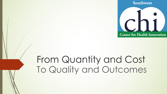

# From Quantity and Cost To Quality and Outcomes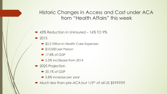Historic Changes in Access and Cost under ACA from "Health Affairs" this week

- $\rightarrow$  43% Reduction in Uninsured 16% TO 9%
- $\triangleright$  2015
	- \$3.2 Trillion in Health Care Expenses
	- $\rightarrow$  \$10,000 per Person
	- $\blacksquare$  17.8% of GDP
	- $\bullet$  5.5% incr3ease from 2014
- 2025 Projection
	- $\triangleright$  20.1% of GDP
	- 5.8% increase per year
- $\blacksquare$  Much less than pre-ACA but  $1/5$ <sup>th</sup> of all US \$??????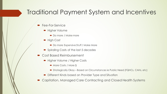# Traditional Payment System and Incentives

- Fee-For-Service
	- Higher Volume
		- Do more / Make more
	- High Cost
		- Do more Expensive Stuff / Make More
	- Spiraling Costs of the last 5 decades
- Cost Based Reimbursement
	- Higher Volume / Higher Costs
		- More Costs / More \$
		- Strategically Okay Based on Circumstances ie Public Need (FQHCs, CAHs, etc)
	- $\blacksquare$  Different Kinds based on Provider Type and Situation
- Capitation, Managed Care Contracting and Closed Health Systems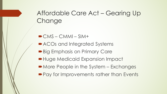# Affordable Care Act – Gearing Up **Change**

- $\blacksquare$  CMS CMMI SIM+
- ACOs and Integrated Systems
- **Big Emphasis on Primary Care**
- **Huge Medicaid Expansion Impact**
- More People in the System Exchanges
- $\blacktriangleright$  Pay for Improvements rather than Events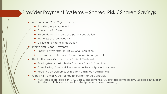#### Provider Payment Systems – Shared Risk / Shared Savings

- Accountable Care Organizations
	- Provider groups organized
	- $\bullet$  Contracts with Payer
	- Responsible for the care of a patient population
	- Manages Cost and Quality
	- ´ Clinical and Financial Integration
- PMPM and Global Payments
	- Upfront Payments for Total Cost of a Population
	- Focus on Prevention and Chronic Disease Management
- Health Homes Community or Patient Centered
	- Enrolling Medicare Patient w 2 or more Chronic Conditions
	- ´ Coordinating Care additional resources beyond patient payments
	- Reporting on Outcomes or Info from Claims can add bonus \$
- ´ Others with similar Goals of Pay for Performance Concepts
	- ACH (cross sector coalitions), PC Case Management, MCO provider contracts, SIM, Medicaid Innovation Accelerator, Episodes of care (bundled payments based on event)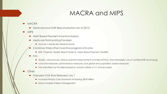# MACRA and MIPS

**MACRA** 

- ´ Medicare and CHIP Reauthorization Act of 2015
- $\blacksquare$  MIPS
	- Merit Based Payment Incentive System
	- Medicare Participating Providers
		- Must be a Medicaid Medical Home
	- Combines three other incentive programs into one
		- EHR, Physician Quality Report Systems, Value Based Payment Modifier
	- $\blacksquare$  Into
		- Quality, resource use, clinical practice improvement activities (CPIAs), and meaningful use of certified EHR technology
		- outcome measures, performance measures, and global and population based measures
		- Info Submitted by Providers based on annual criteria (11/1 of every year)
- **Other** 
	- Proposed CMS Rule Released July 7
		- Increase Primary Care Payments increasing \$900 Million
		- More Complex Patient Management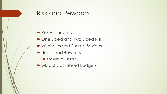## Risk and Rewards

- Risk Vs. Incentives
- One Sided and Two Sided Risk
- Withholds and Shared Savings
- Undefined Rewards
	- Maximum Eligibility
- Global Cost Based Budgets